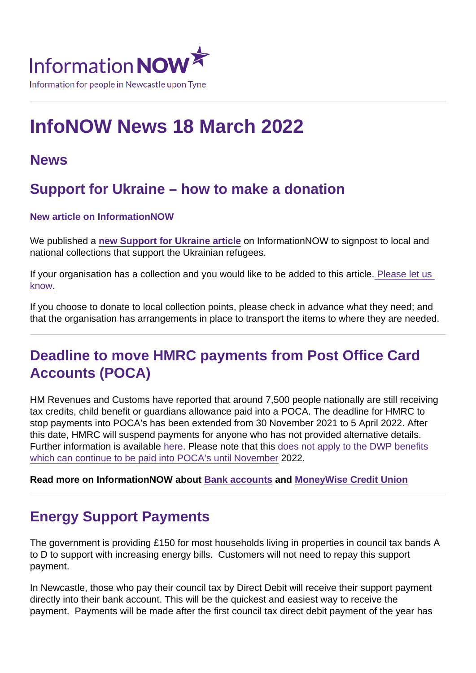# InfoNOW News 18 March 2022

#### News

#### Support for Ukraine – how to make a donation

New article on InformationNOW

We published a [new Support for Ukraine article](https://www.informationnow.org.uk/article/support-for-ukraine/) on InformationNOW to signpost to local and national collections that support the Ukrainian refugees.

If your organisation has a collection and you would like to be added to this article[. Please let us](mailto:InformationNOW@Newcastle.gov.uk?subject=Support for Ukraine)  [know.](mailto:InformationNOW@Newcastle.gov.uk?subject=Support for Ukraine)

If you choose to donate to local collection points, please check in advance what they need; and that the organisation has arrangements in place to transport the items to where they are needed.

### Deadline to move HMRC payments from Post Office Card Accounts (POCA)

HM Revenues and Customs have reported that around 7,500 people nationally are still receiving tax credits, child benefit or guardians allowance paid into a POCA. The deadline for HMRC to stop payments into POCA's has been extended from 30 November 2021 to 5 April 2022. After this date, HMRC will suspend payments for anyone who has not provided alternative details. Further information is available [here.](https://www.gov.uk/government/news/hmrc-customers-have-one-month-left-to-switch-their-post-office-card-account) Please note that this [does not apply to the DWP benefits](https://www.gov.uk/government/news/post-office-card-accounts-closure-extended-until-november-2022)  [which can continue to be paid into POCA's until November](https://www.gov.uk/government/news/post-office-card-accounts-closure-extended-until-november-2022) 2022.

Read more on InformationNOW about [Bank accounts](https://www.informationnow.org.uk/article/bank-accounts/) and [MoneyWise Credit Union](https://www.informationnow.org.uk/organisation/moneywise-credit-union-ltd/)

### Energy Support Payments

The government is providing £150 for most households living in properties in council tax bands A to D to support with increasing energy bills. Customers will not need to repay this support payment.

In Newcastle, those who pay their council tax by Direct Debit will receive their support payment directly into their bank account. This will be the quickest and easiest way to receive the payment. Payments will be made after the first council tax direct debit payment of the year has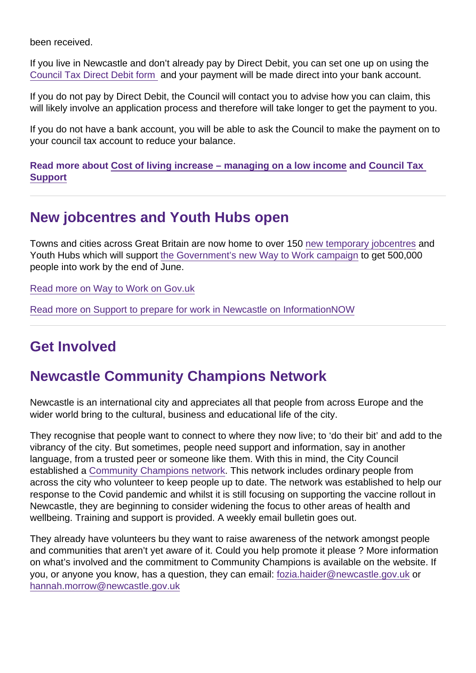been received.

If you live in Newcastle and don't already pay by Direct Debit, you can set one up on using the [Council Tax Direct Debit form](https://newcastle.gov.uk/directdebit) and your payment will be made direct into your bank account.

If you do not pay by Direct Debit, the Council will contact you to advise how you can claim, this will likely involve an application process and therefore will take longer to get the payment to you.

If you do not have a bank account, you will be able to ask the Council to make the payment on to your council tax account to reduce your balance.

Read more about [Cost of living increase – managing on a low income](https://www.informationnow.org.uk/article/managing-on-a-low-income-saving-money/) and Council Tax **[Support](https://www.informationnow.org.uk/article/council-tax-support/)** 

#### New jobcentres and Youth Hubs open

Towns and cities across Great Britain are now home to over 150 [new temporary jobcentres](https://news.dwp.gov.uk/dwplz/lz.aspx?p1=MnQDU0Mzc0MVMxNDM0OjYwQ0VCNjYxQzNEMkVEMEZBQzYzRkEwOEIzNjFEMEYz-&CC=&w=76931) and Youth Hubs which will support [the Government's new Way to Work campaign](https://jobhelp.campaign.gov.uk/way-to-work) to get 500,000 people into work by the end of June.

[Read more on Way to Work on Gov.uk](https://www.gov.uk/government/news/new-jobs-mission-to-get-500-000-into-work)

[Read more on Support to prepare for work in Newcastle on InformationNOW](https://www.informationnow.org.uk/article/preparing-for-work/)

### Get Involved

### Newcastle Community Champions Network

Newcastle is an international city and appreciates all that people from across Europe and the wider world bring to the cultural, business and educational life of the city.

They recognise that people want to connect to where they now live; to 'do their bit' and add to the vibrancy of the city. But sometimes, people need support and information, say in another language, from a trusted peer or someone like them. With this in mind, the City Council established a [Community Champions network.](https://www.newcastle.gov.uk/community-champions) This network includes ordinary people from across the city who volunteer to keep people up to date. The network was established to help our response to the Covid pandemic and whilst it is still focusing on supporting the vaccine rollout in Newcastle, they are beginning to consider widening the focus to other areas of health and wellbeing. Training and support is provided. A weekly email bulletin goes out.

They already have volunteers bu they want to raise awareness of the network amongst people and communities that aren't yet aware of it. Could you help promote it please ? More information on what's involved and the commitment to Community Champions is available on the website. If you, or anyone you know, has a question, they can email: [fozia.haider@newcastle.gov.uk](mailto:fozia.haider@newcastle.gov.uk) or [hannah.morrow@newcastle.gov.uk](mailto:hannah.morrow@newcastle.gov.uk)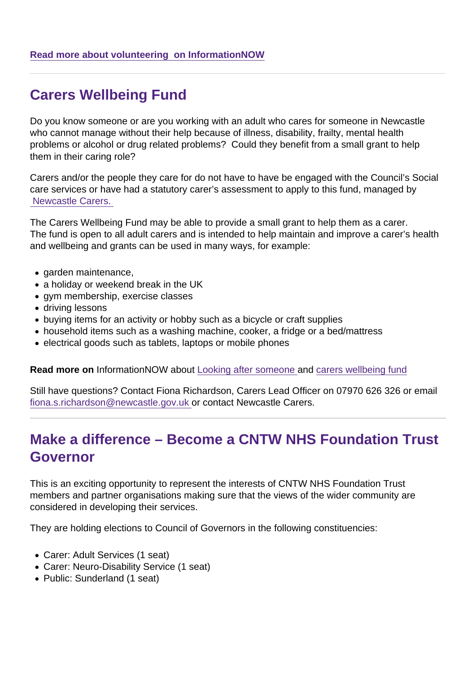### Carers Wellbeing Fund

Do you know someone or are you working with an adult who cares for someone in Newcastle who cannot manage without their help because of illness, disability, frailty, mental health problems or alcohol or drug related problems? Could they benefit from a small grant to help them in their caring role?

Carers and/or the people they care for do not have to have be engaged with the Council's Social care services or have had a statutory carer's assessment to apply to this fund, managed by  [Newcastle Carers.](https://www.informationnow.org.uk/organisation/newcastle-carers/) 

The Carers Wellbeing Fund may be able to provide a small grant to help them as a carer. The fund is open to all adult carers and is intended to help maintain and improve a carer's health and wellbeing and grants can be used in many ways, for example:

- garden maintenance,
- a holiday or weekend break in the UK
- gym membership, exercise classes
- driving lessons
- buying items for an activity or hobby such as a bicycle or craft supplies
- household items such as a washing machine, cooker, a fridge or a bed/mattress
- electrical goods such as tablets, laptops or mobile phones

Read more on InformationNOW about [Looking after someone](https://www.informationnow.org.uk/article/looking-after-someone/) and [carers wellbeing fund](https://www.informationnow.org.uk/article/carers-opportunities-fund/)

Still have questions? Contact Fiona Richardson, Carers Lead Officer on 07970 626 326 or email [fiona.s.richardson@newcastle.gov.uk](mailto:fiona.s.richardson@newcastle.gov.uk) or contact Newcastle Carers.

#### Make a difference – Become a CNTW NHS Foundation Trust Governor

This is an exciting opportunity to represent the interests of CNTW NHS Foundation Trust members and partner organisations making sure that the views of the wider community are considered in developing their services.

They are holding elections to Council of Governors in the following constituencies:

- Carer: Adult Services (1 seat)
- Carer: Neuro-Disability Service (1 seat)
- Public: Sunderland (1 seat)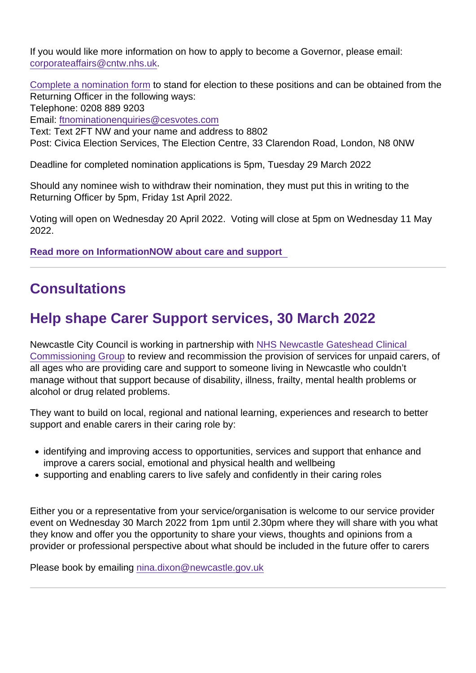If you would like more information on how to apply to become a Governor, please email: [corporateaffairs@cntw.nhs.uk](mailto:corporateaffairs@cntw.nhs.uk).

[Complete a nomination form](https://secure.cesvotes.com/V3-1-0/cntw2022/en/home?bbp=46715&x=-1) to stand for election to these positions and can be obtained from the Returning Officer in the following ways: Telephone: 0208 889 9203 Email: [ftnominationenquiries@cesvotes.com](mailto:ftnominationenquiries@cesvotes.com) Text: Text 2FT NW and your name and address to 8802

Post: Civica Election Services, The Election Centre, 33 Clarendon Road, London, N8 0NW

Deadline for completed nomination applications is 5pm, Tuesday 29 March 2022

Should any nominee wish to withdraw their nomination, they must put this in writing to the Returning Officer by 5pm, Friday 1st April 2022.

Voting will open on Wednesday 20 April 2022. Voting will close at 5pm on Wednesday 11 May 2022.

[Read more on InformationNOW about care and support](https://www.informationnow.org.uk/article/care-and-support/) 

#### **Consultations**

# Help shape Carer Support services, 30 March 2022

Newcastle City Council is working in partnership with [NHS Newcastle Gateshead Clinical](https://www.informationnow.org.uk/organisation/newcastle-gateshead-clinical-commissioning-group-ccg/)  [Commissioning Group](https://www.informationnow.org.uk/organisation/newcastle-gateshead-clinical-commissioning-group-ccg/) to review and recommission the provision of services for unpaid carers, of all ages who are providing care and support to someone living in Newcastle who couldn't manage without that support because of disability, illness, frailty, mental health problems or alcohol or drug related problems.

They want to build on local, regional and national learning, experiences and research to better support and enable carers in their caring role by:

- identifying and improving access to opportunities, services and support that enhance and improve a carers social, emotional and physical health and wellbeing
- supporting and enabling carers to live safely and confidently in their caring roles

Either you or a representative from your service/organisation is welcome to our service provider event on Wednesday 30 March 2022 from 1pm until 2.30pm where they will share with you what they know and offer you the opportunity to share your views, thoughts and opinions from a provider or professional perspective about what should be included in the future offer to carers

Please book by emailing [nina.dixon@newcastle.gov.uk](mailto:nina.dixon@newcastle.gov.uk)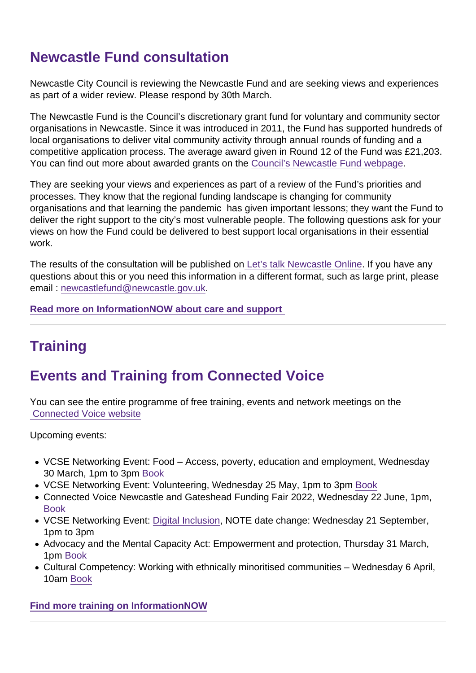## Newcastle Fund consultation

Newcastle City Council is reviewing the Newcastle Fund and are seeking views and experiences as part of a wider review. Please respond by 30th March.

The Newcastle Fund is the Council's discretionary grant fund for voluntary and community sector organisations in Newcastle. Since it was introduced in 2011, the Fund has supported hundreds of local organisations to deliver vital community activity through annual rounds of funding and a competitive application process. The average award given in Round 12 of the Fund was £21,203. You can find out more about awarded grants on the [Council's Newcastle Fund webpage](https://www.newcastle.gov.uk/services/communities-and-neighbourhoods/newcastle-fund).

They are seeking your views and experiences as part of a review of the Fund's priorities and processes. They know that the regional funding landscape is changing for community organisations and that learning the pandemic has given important lessons; they want the Fund to deliver the right support to the city's most vulnerable people. The following questions ask for your views on how the Fund could be delivered to best support local organisations in their essential work.

The results of the consultation will be published on [Let's talk Newcastle Online](https://www.letstalknewcastle.co.uk/consultations/329). If you have any questions about this or you need this information in a different format, such as large print, please email : [newcastlefund@newcastle.gov.uk](mailto:newcastlefund@newcastle.gov.uk).

[Read more on InformationNOW about care and support](https://www.informationnow.org.uk/article/care-and-support/) 

# **Training**

# Events and Training from Connected Voice

You can see the entire programme of free training, events and network meetings on the  [Connected Voice website](https://www.informationnow.org.uk/organisation/connected-voice/)

Upcoming events:

- VCSE Networking Event: Food Access, poverty, education and employment, Wednesday 30 March, 1pm to 3pm [Book](https://www.informationnow.org.uk/event/vcse-networking-event-food/)
- VCSE Networking Event: Volunteering, Wednesday 25 May, 1pm to 3pm [Book](https://www.informationnow.org.uk/event/vcse-networking-event-volunteering/)
- Connected Voice Newcastle and Gateshead Funding Fair 2022, Wednesday 22 June, 1pm, [Book](https://www.informationnow.org.uk/event/newcatle-and-gateshead-funding-fair/)
- VCSE Networking Event: [Digital Inclusion](https://www.informationnow.org.uk/event/vcse-networking-event-digital-inclusion/), NOTE date change: Wednesday 21 September, 1pm to 3pm
- Advocacy and the Mental Capacity Act: Empowerment and protection, Thursday 31 March, 1pm [Book](https://www.informationnow.org.uk/event/advocacy-and-the-mental-capacity-act-empowerment-and-protection/)
- Cultural Competency: Working with ethnically minoritised communities Wednesday 6 April, 10am [Book](https://www.informationnow.org.uk/event/cultural-competency-working-with-ethnically-minoritised-communities-3/2022-04-06/)

[Find more training on InformationNOW](https://www.informationnow.org.uk/events-activities/your-search-results/?sString=training&loc=&postcode=&org=&day=)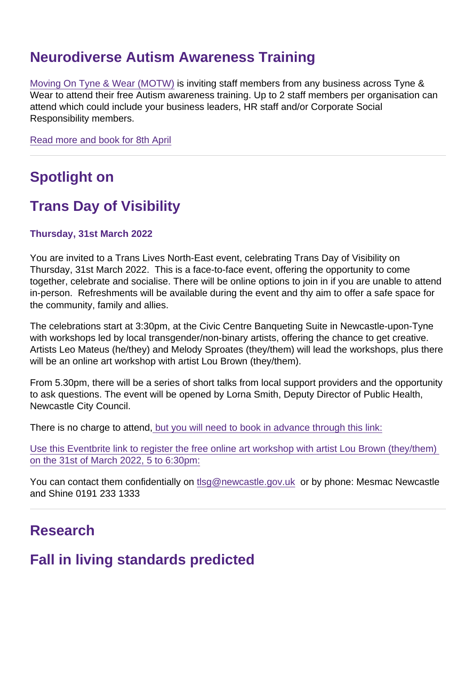#### Neurodiverse Autism Awareness Training

[Moving On Tyne & Wear \(MOTW\)](https://www.informationnow.org.uk/organisation/moving-tyne-wear/) is inviting staff members from any business across Tyne & Wear to attend their free Autism awareness training. Up to 2 staff members per organisation can attend which could include your business leaders, HR staff and/or Corporate Social Responsibility members.

[Read more and book for 8th April](https://www.informationnow.org.uk/event/neurodiverse-autism-training/2022-04-08/)

## Spotlight on

### Trans Day of Visibility

Thursday, 31st March 2022

You are invited to a Trans Lives North-East event, celebrating Trans Day of Visibility on Thursday, 31st March 2022. This is a face-to-face event, offering the opportunity to come together, celebrate and socialise. There will be online options to join in if you are unable to attend in-person. Refreshments will be available during the event and thy aim to offer a safe space for the community, family and allies.

The celebrations start at 3:30pm, at the Civic Centre Banqueting Suite in Newcastle-upon-Tyne with workshops led by local transgender/non-binary artists, offering the chance to get creative. Artists Leo Mateus (he/they) and Melody Sproates (they/them) will lead the workshops, plus there will be an online art workshop with artist Lou Brown (they/them).

From 5.30pm, there will be a series of short talks from local support providers and the opportunity to ask questions. The event will be opened by Lorna Smith, Deputy Director of Public Health, Newcastle City Council.

There is no charge to attend, [but you will need to book in advance through this link:](https://www.informationnow.org.uk/event/trans-day-of-visibility/)

[Use this Eventbrite link to register the free online art workshop with artist Lou Brown \(they/them\)](https://www.eventbrite.co.uk/e/trans-day-of-visibility-online-art-workshop-tickets-289678745927   )  [on the 31st of March 2022, 5 to 6:30pm:](https://www.eventbrite.co.uk/e/trans-day-of-visibility-online-art-workshop-tickets-289678745927   )

You can contact them confidentially on [tlsg@newcastle.gov.uk](mailto:tlsg@newcastle.gov.uk) or by phone: Mesmac Newcastle and Shine 0191 233 1333

#### Research

#### Fall in living standards predicted